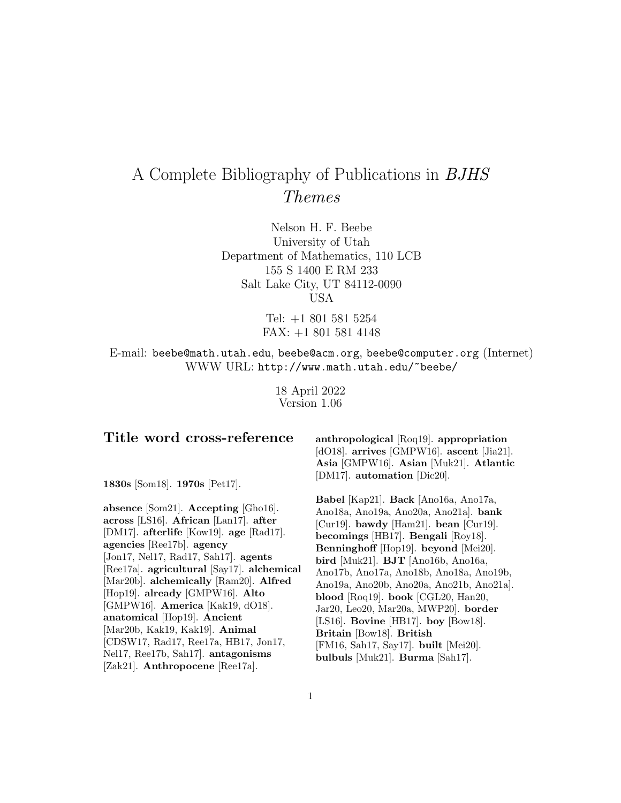# A Complete Bibliography of Publications in BJHS Themes

Nelson H. F. Beebe University of Utah Department of Mathematics, 110 LCB 155 S 1400 E RM 233 Salt Lake City, UT 84112-0090 USA

> Tel: +1 801 581 5254 FAX: +1 801 581 4148

E-mail: beebe@math.utah.edu, beebe@acm.org, beebe@computer.org (Internet) WWW URL: http://www.math.utah.edu/~beebe/

> 18 April 2022 Version 1.06

# **Title word cross-reference**

**1830s** [Som18]. **1970s** [Pet17].

**absence** [Som21]. **Accepting** [Gho16]. **across** [LS16]. **African** [Lan17]. **after** [DM17]. **afterlife** [Kow19]. **age** [Rad17]. **agencies** [Ree17b]. **agency** [Jon17, Nel17, Rad17, Sah17]. **agents** [Ree17a]. **agricultural** [Say17]. **alchemical** [Mar20b]. **alchemically** [Ram20]. **Alfred** [Hop19]. **already** [GMPW16]. **Alto** [GMPW16]. **America** [Kak19, dO18]. **anatomical** [Hop19]. **Ancient** [Mar20b, Kak19, Kak19]. **Animal** [CDSW17, Rad17, Ree17a, HB17, Jon17, Nel17, Ree17b, Sah17]. **antagonisms** [Zak21]. **Anthropocene** [Ree17a].

**anthropological** [Roq19]. **appropriation** [dO18]. **arrives** [GMPW16]. **ascent** [Jia21]. **Asia** [GMPW16]. **Asian** [Muk21]. **Atlantic** [DM17]. **automation** [Dic20].

**Babel** [Kap21]. **Back** [Ano16a, Ano17a, Ano18a, Ano19a, Ano20a, Ano21a]. **bank** [Cur19]. **bawdy** [Ham21]. **bean** [Cur19]. **becomings** [HB17]. **Bengali** [Roy18]. **Benninghoff** [Hop19]. **beyond** [Mei20]. **bird** [Muk21]. **BJT** [Ano16b, Ano16a, Ano17b, Ano17a, Ano18b, Ano18a, Ano19b, Ano19a, Ano20b, Ano20a, Ano21b, Ano21a]. **blood** [Roq19]. **book** [CGL20, Han20, Jar20, Leo20, Mar20a, MWP20]. **border** [LS16]. **Bovine** [HB17]. **boy** [Bow18]. **Britain** [Bow18]. **British** [FM16, Sah17, Say17]. **built** [Mei20]. **bulbuls** [Muk21]. **Burma** [Sah17].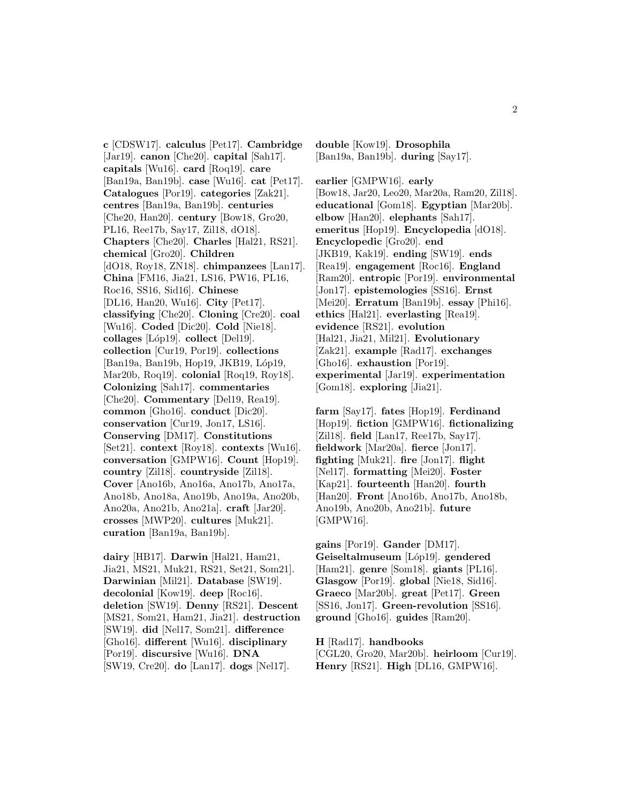**c** [CDSW17]. **calculus** [Pet17]. **Cambridge** [Jar19]. **canon** [Che20]. **capital** [Sah17]. **capitals** [Wu16]. **card** [Roq19]. **care** [Ban19a, Ban19b]. **case** [Wu16]. **cat** [Pet17]. **Catalogues** [Por19]. **categories** [Zak21]. **centres** [Ban19a, Ban19b]. **centuries** [Che20, Han20]. **century** [Bow18, Gro20, PL16, Ree17b, Say17, Zil18, dO18]. **Chapters** [Che20]. **Charles** [Hal21, RS21]. **chemical** [Gro20]. **Children** [dO18, Roy18, ZN18]. **chimpanzees** [Lan17]. **China** [FM16, Jia21, LS16, PW16, PL16, Roc16, SS16, Sid16]. **Chinese** [DL16, Han20, Wu16]. **City** [Pet17]. **classifying** [Che20]. **Cloning** [Cre20]. **coal** [Wu16]. **Coded** [Dic20]. **Cold** [Nie18]. **collages** [L´op19]. **collect** [Del19]. **collection** [Cur19, Por19]. **collections** [Ban19a, Ban19b, Hop19, JKB19, Lóp19, Mar20b, Roq19]. **colonial** [Roq19, Roy18]. **Colonizing** [Sah17]. **commentaries** [Che20]. **Commentary** [Del19, Rea19]. **common** [Gho16]. **conduct** [Dic20]. **conservation** [Cur19, Jon17, LS16]. **Conserving** [DM17]. **Constitutions** [Set21]. **context** [Roy18]. **contexts** [Wu16]. **conversation** [GMPW16]. **Count** [Hop19]. **country** [Zil18]. **countryside** [Zil18]. **Cover** [Ano16b, Ano16a, Ano17b, Ano17a, Ano18b, Ano18a, Ano19b, Ano19a, Ano20b, Ano20a, Ano21b, Ano21a]. **craft** [Jar20]. **crosses** [MWP20]. **cultures** [Muk21]. **curation** [Ban19a, Ban19b].

**dairy** [HB17]. **Darwin** [Hal21, Ham21, Jia21, MS21, Muk21, RS21, Set21, Som21]. **Darwinian** [Mil21]. **Database** [SW19]. **decolonial** [Kow19]. **deep** [Roc16]. **deletion** [SW19]. **Denny** [RS21]. **Descent** [MS21, Som21, Ham21, Jia21]. **destruction** [SW19]. **did** [Nel17, Som21]. **difference** [Gho16]. **different** [Wu16]. **disciplinary** [Por19]. **discursive** [Wu16]. **DNA** [SW19, Cre20]. **do** [Lan17]. **dogs** [Nel17].

**double** [Kow19]. **Drosophila** [Ban19a, Ban19b]. **during** [Say17].

**earlier** [GMPW16]. **early** [Bow18, Jar20, Leo20, Mar20a, Ram20, Zil18]. **educational** [Gom18]. **Egyptian** [Mar20b]. **elbow** [Han20]. **elephants** [Sah17]. **emeritus** [Hop19]. **Encyclopedia** [dO18]. **Encyclopedic** [Gro20]. **end** [JKB19, Kak19]. **ending** [SW19]. **ends** [Rea19]. **engagement** [Roc16]. **England** [Ram20]. **entropic** [Por19]. **environmental** [Jon17]. **epistemologies** [SS16]. **Ernst** [Mei20]. **Erratum** [Ban19b]. **essay** [Phi16]. **ethics** [Hal21]. **everlasting** [Rea19]. **evidence** [RS21]. **evolution** [Hal21, Jia21, Mil21]. **Evolutionary** [Zak21]. **example** [Rad17]. **exchanges** [Gho16]. **exhaustion** [Por19]. **experimental** [Jar19]. **experimentation** [Gom18]. **exploring** [Jia21].

**farm** [Say17]. **fates** [Hop19]. **Ferdinand** [Hop19]. **fiction** [GMPW16]. **fictionalizing** [Zil18]. **field** [Lan17, Ree17b, Say17]. **fieldwork** [Mar20a]. **fierce** [Jon17]. **fighting** [Muk21]. **fire** [Jon17]. **flight** [Nel17]. **formatting** [Mei20]. **Foster** [Kap21]. **fourteenth** [Han20]. **fourth** [Han20]. **Front** [Ano16b, Ano17b, Ano18b, Ano19b, Ano20b, Ano21b]. **future** [GMPW16].

**gains** [Por19]. **Gander** [DM17]. **Geiseltalmuseum** [L´op19]. **gendered** [Ham21]. **genre** [Som18]. **giants** [PL16]. **Glasgow** [Por19]. **global** [Nie18, Sid16]. **Graeco** [Mar20b]. **great** [Pet17]. **Green** [SS16, Jon17]. **Green-revolution** [SS16]. **ground** [Gho16]. **guides** [Ram20].

**H** [Rad17]. **handbooks** [CGL20, Gro20, Mar20b]. **heirloom** [Cur19]. **Henry** [RS21]. **High** [DL16, GMPW16].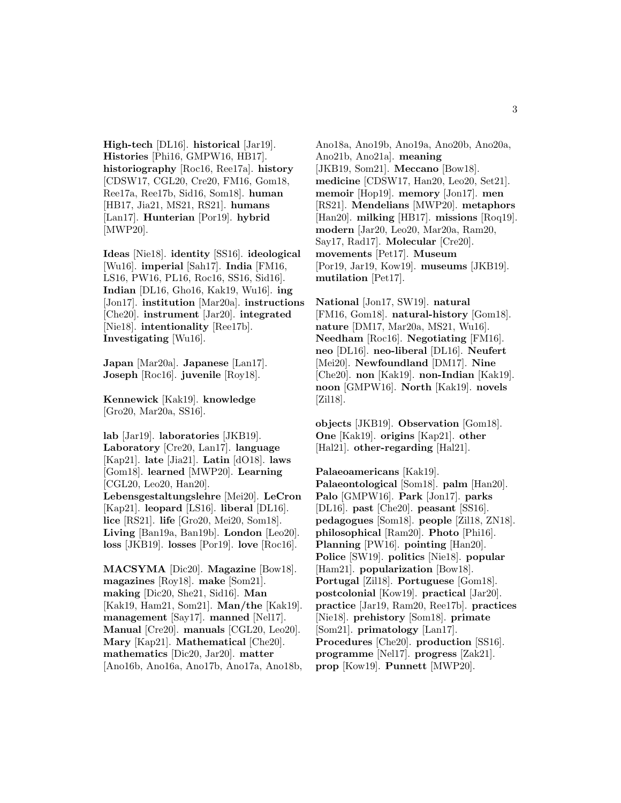**High-tech** [DL16]. **historical** [Jar19]. **Histories** [Phi16, GMPW16, HB17]. **historiography** [Roc16, Ree17a]. **history** [CDSW17, CGL20, Cre20, FM16, Gom18, Ree17a, Ree17b, Sid16, Som18]. **human** [HB17, Jia21, MS21, RS21]. **humans** [Lan17]. **Hunterian** [Por19]. **hybrid** [MWP20].

**Ideas** [Nie18]. **identity** [SS16]. **ideological** [Wu16]. **imperial** [Sah17]. **India** [FM16, LS16, PW16, PL16, Roc16, SS16, Sid16]. **Indian** [DL16, Gho16, Kak19, Wu16]. **ing** [Jon17]. **institution** [Mar20a]. **instructions** [Che20]. **instrument** [Jar20]. **integrated** [Nie18]. **intentionality** [Ree17b]. **Investigating** [Wu16].

**Japan** [Mar20a]. **Japanese** [Lan17]. **Joseph** [Roc16]. **juvenile** [Roy18].

**Kennewick** [Kak19]. **knowledge** [Gro20, Mar20a, SS16].

**lab** [Jar19]. **laboratories** [JKB19]. **Laboratory** [Cre20, Lan17]. **language** [Kap21]. **late** [Jia21]. **Latin** [dO18]. **laws** [Gom18]. **learned** [MWP20]. **Learning** [CGL20, Leo20, Han20]. **Lebensgestaltungslehre** [Mei20]. **LeCron** [Kap21]. **leopard** [LS16]. **liberal** [DL16]. **lice** [RS21]. **life** [Gro20, Mei20, Som18]. **Living** [Ban19a, Ban19b]. **London** [Leo20]. **loss** [JKB19]. **losses** [Por19]. **love** [Roc16].

**MACSYMA** [Dic20]. **Magazine** [Bow18]. **magazines** [Roy18]. **make** [Som21]. **making** [Dic20, She21, Sid16]. **Man** [Kak19, Ham21, Som21]. **Man/the** [Kak19]. **management** [Say17]. **manned** [Nel17]. **Manual** [Cre20]. **manuals** [CGL20, Leo20]. **Mary** [Kap21]. **Mathematical** [Che20]. **mathematics** [Dic20, Jar20]. **matter** [Ano16b, Ano16a, Ano17b, Ano17a, Ano18b,

Ano18a, Ano19b, Ano19a, Ano20b, Ano20a, Ano21b, Ano21a]. **meaning** [JKB19, Som21]. **Meccano** [Bow18]. **medicine** [CDSW17, Han20, Leo20, Set21]. **memoir** [Hop19]. **memory** [Jon17]. **men** [RS21]. **Mendelians** [MWP20]. **metaphors** [Han20]. **milking** [HB17]. **missions** [Roq19]. **modern** [Jar20, Leo20, Mar20a, Ram20, Say17, Rad17]. **Molecular** [Cre20]. **movements** [Pet17]. **Museum** [Por19, Jar19, Kow19]. **museums** [JKB19]. **mutilation** [Pet17].

**National** [Jon17, SW19]. **natural** [FM16, Gom18]. **natural-history** [Gom18]. **nature** [DM17, Mar20a, MS21, Wu16]. **Needham** [Roc16]. **Negotiating** [FM16]. **neo** [DL16]. **neo-liberal** [DL16]. **Neufert** [Mei20]. **Newfoundland** [DM17]. **Nine** [Che20]. **non** [Kak19]. **non-Indian** [Kak19]. **noon** [GMPW16]. **North** [Kak19]. **novels** [Zil18].

**objects** [JKB19]. **Observation** [Gom18]. **One** [Kak19]. **origins** [Kap21]. **other** [Hal21]. **other-regarding** [Hal21].

**Palaeoamericans** [Kak19]. **Palaeontological** [Som18]. **palm** [Han20]. **Palo** [GMPW16]. **Park** [Jon17]. **parks** [DL16]. **past** [Che20]. **peasant** [SS16]. **pedagogues** [Som18]. **people** [Zil18, ZN18]. **philosophical** [Ram20]. **Photo** [Phi16]. **Planning** [PW16]. **pointing** [Han20]. **Police** [SW19]. **politics** [Nie18]. **popular** [Ham21]. **popularization** [Bow18]. **Portugal** [Zil18]. **Portuguese** [Gom18]. **postcolonial** [Kow19]. **practical** [Jar20]. **practice** [Jar19, Ram20, Ree17b]. **practices** [Nie18]. **prehistory** [Som18]. **primate** [Som21]. **primatology** [Lan17]. **Procedures** [Che20]. **production** [SS16]. **programme** [Nel17]. **progress** [Zak21]. **prop** [Kow19]. **Punnett** [MWP20].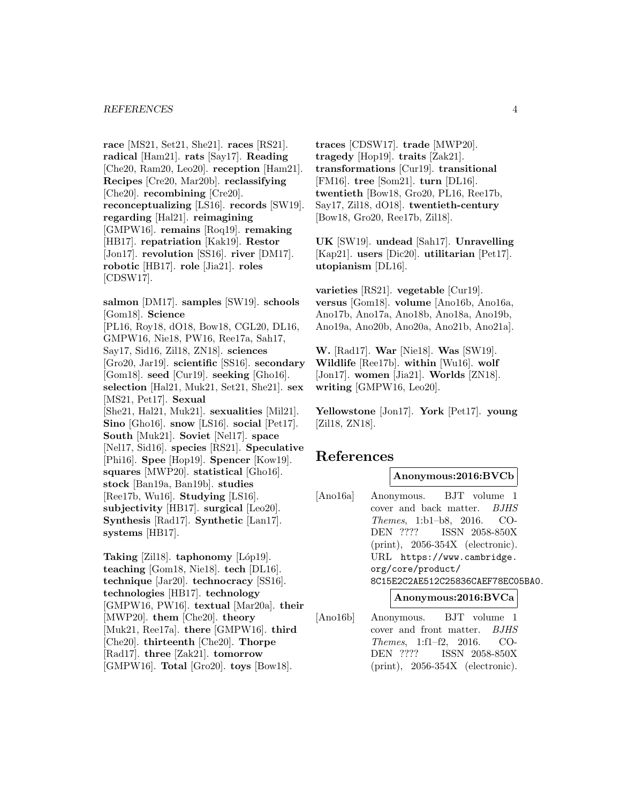#### *REFERENCES* 4

**race** [MS21, Set21, She21]. **races** [RS21]. **radical** [Ham21]. **rats** [Say17]. **Reading** [Che20, Ram20, Leo20]. **reception** [Ham21]. **Recipes** [Cre20, Mar20b]. **reclassifying** [Che20]. **recombining** [Cre20]. **reconceptualizing** [LS16]. **records** [SW19]. **regarding** [Hal21]. **reimagining** [GMPW16]. **remains** [Roq19]. **remaking** [HB17]. **repatriation** [Kak19]. **Restor** [Jon17]. **revolution** [SS16]. **river** [DM17]. **robotic** [HB17]. **role** [Jia21]. **roles** [CDSW17].

**salmon** [DM17]. **samples** [SW19]. **schools** [Gom18]. **Science** [PL16, Roy18, dO18, Bow18, CGL20, DL16, GMPW16, Nie18, PW16, Ree17a, Sah17, Say17, Sid16, Zil18, ZN18]. **sciences** [Gro20, Jar19]. **scientific** [SS16]. **secondary** [Gom18]. **seed** [Cur19]. **seeking** [Gho16]. **selection** [Hal21, Muk21, Set21, She21]. **sex** [MS21, Pet17]. **Sexual** [She21, Hal21, Muk21]. **sexualities** [Mil21]. **Sino** [Gho16]. **snow** [LS16]. **social** [Pet17]. **South** [Muk21]. **Soviet** [Nel17]. **space** [Nel17, Sid16]. **species** [RS21]. **Speculative** [Phi16]. **Spee** [Hop19]. **Spencer** [Kow19]. **squares** [MWP20]. **statistical** [Gho16]. **stock** [Ban19a, Ban19b]. **studies** [Ree17b, Wu16]. **Studying** [LS16]. **subjectivity** [HB17]. **surgical** [Leo20]. **Synthesis** [Rad17]. **Synthetic** [Lan17]. **systems** [HB17].

Taking [Zil18]. **taphonomy** [Lóp19]. **teaching** [Gom18, Nie18]. **tech** [DL16]. **technique** [Jar20]. **technocracy** [SS16]. **technologies** [HB17]. **technology** [GMPW16, PW16]. **textual** [Mar20a]. **their** [MWP20]. **them** [Che20]. **theory** [Muk21, Ree17a]. **there** [GMPW16]. **third** [Che20]. **thirteenth** [Che20]. **Thorpe** [Rad17]. **three** [Zak21]. **tomorrow** [GMPW16]. **Total** [Gro20]. **toys** [Bow18].

**traces** [CDSW17]. **trade** [MWP20]. **tragedy** [Hop19]. **traits** [Zak21]. **transformations** [Cur19]. **transitional** [FM16]. **tree** [Som21]. **turn** [DL16]. **twentieth** [Bow18, Gro20, PL16, Ree17b, Say17, Zil18, dO18]. **twentieth-century** [Bow18, Gro20, Ree17b, Zil18].

**UK** [SW19]. **undead** [Sah17]. **Unravelling** [Kap21]. **users** [Dic20]. **utilitarian** [Pet17]. **utopianism** [DL16].

**varieties** [RS21]. **vegetable** [Cur19]. **versus** [Gom18]. **volume** [Ano16b, Ano16a, Ano17b, Ano17a, Ano18b, Ano18a, Ano19b, Ano19a, Ano20b, Ano20a, Ano21b, Ano21a].

**W.** [Rad17]. **War** [Nie18]. **Was** [SW19]. **Wildlife** [Ree17b]. **within** [Wu16]. **wolf** [Jon17]. **women** [Jia21]. **Worlds** [ZN18]. **writing** [GMPW16, Leo20].

**Yellowstone** [Jon17]. **York** [Pet17]. **young** [Zil18, ZN18].

# **References**

#### **Anonymous:2016:BVCb**

[Ano16a] Anonymous. BJT volume 1 cover and back matter. BJHS Themes, 1:b1–b8, 2016. CO-DEN ???? ISSN 2058-850X (print), 2056-354X (electronic). URL https://www.cambridge. org/core/product/ 8C15E2C2AE512C25836CAEF78EC05BA0.

**Anonymous:2016:BVCa**

[Ano16b] Anonymous. BJT volume 1 cover and front matter. BJHS Themes, 1:f1–f2, 2016. CO-DEN ???? ISSN 2058-850X (print), 2056-354X (electronic).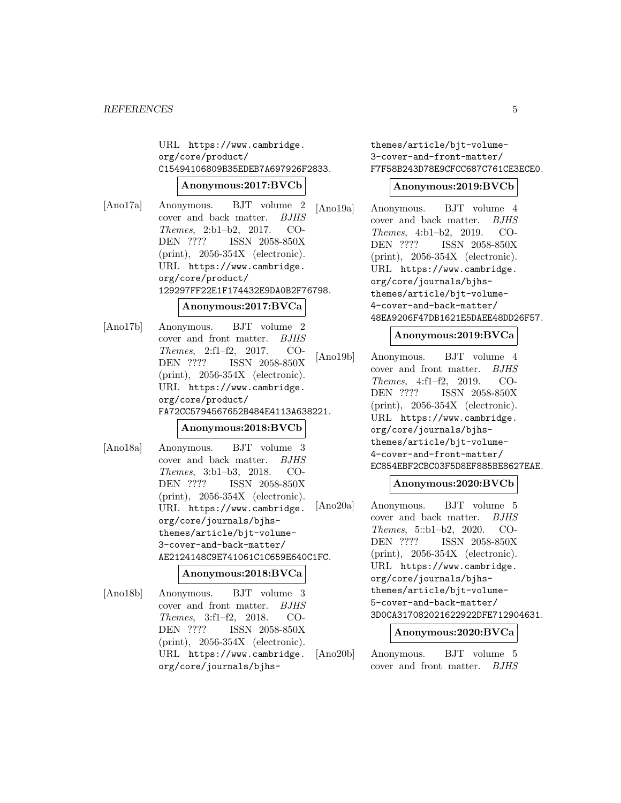URL https://www.cambridge. org/core/product/ C15494106809B35EDEB7A697926F2833.

#### **Anonymous:2017:BVCb**

[Ano17a] Anonymous. BJT volume 2 cover and back matter. BJHS Themes, 2:b1–b2, 2017. CO-DEN ???? ISSN 2058-850X (print), 2056-354X (electronic). URL https://www.cambridge. org/core/product/ 129297FF22E1F174432E9DA0B2F76798.

#### **Anonymous:2017:BVCa**

[Ano17b] Anonymous. BJT volume 2 cover and front matter. BJHS Themes, 2:f1–f2, 2017. CO-DEN ???? ISSN 2058-850X (print), 2056-354X (electronic). URL https://www.cambridge. org/core/product/ FA72CC5794567652B484E4113A638221.

#### **Anonymous:2018:BVCb**

[Ano18a] Anonymous. BJT volume 3 cover and back matter. BJHS Themes, 3:b1–b3, 2018. CO-DEN ???? ISSN 2058-850X (print), 2056-354X (electronic). URL https://www.cambridge. org/core/journals/bjhsthemes/article/bjt-volume-3-cover-and-back-matter/ AE2124148C9E741061C1C659E640C1FC.

#### **Anonymous:2018:BVCa**

[Ano18b] Anonymous. BJT volume 3 cover and front matter. BJHS Themes, 3:f1–f2, 2018. CO-DEN ???? ISSN 2058-850X (print), 2056-354X (electronic). URL https://www.cambridge. org/core/journals/bjhsthemes/article/bjt-volume-3-cover-and-front-matter/ F7F58B243D78E9CFCC687C761CE3ECE0.

#### **Anonymous:2019:BVCb**

[Ano19a] Anonymous. BJT volume 4 cover and back matter. BJHS Themes, 4:b1–b2, 2019. CO-DEN ???? ISSN 2058-850X (print), 2056-354X (electronic). URL https://www.cambridge. org/core/journals/bjhsthemes/article/bjt-volume-4-cover-and-back-matter/ 48EA9206F47DB1621E5DAEE48DD26F57.

#### **Anonymous:2019:BVCa**

[Ano19b] Anonymous. BJT volume 4 cover and front matter. BJHS Themes, 4:f1–f2, 2019. CO-DEN ???? ISSN 2058-850X (print), 2056-354X (electronic). URL https://www.cambridge. org/core/journals/bjhsthemes/article/bjt-volume-4-cover-and-front-matter/ EC854EBF2CBC03F5D8EF885BE8627EAE.

## **Anonymous:2020:BVCb**

[Ano20a] Anonymous. BJT volume 5 cover and back matter. BJHS Themes, 5::b1–b2, 2020. CO-DEN ???? ISSN 2058-850X (print), 2056-354X (electronic). URL https://www.cambridge. org/core/journals/bjhsthemes/article/bjt-volume-5-cover-and-back-matter/ 3D0CA317082021622922DFE712904631.

#### **Anonymous:2020:BVCa**

[Ano20b] Anonymous. BJT volume 5 cover and front matter. BJHS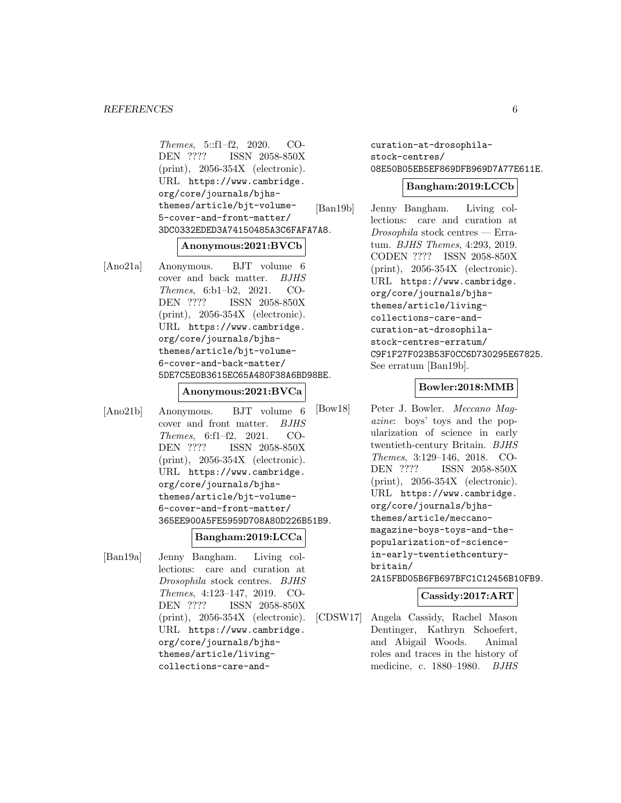Themes, 5::f1–f2, 2020. CO-<br>DEN ???? ISSN 2058-850X ISSN 2058-850X (print), 2056-354X (electronic). URL https://www.cambridge. org/core/journals/bjhsthemes/article/bjt-volume-5-cover-and-front-matter/ 3DC0332EDED3A74150485A3C6FAFA7A8.

#### **Anonymous:2021:BVCb**

[Ano21a] Anonymous. BJT volume 6 cover and back matter. BJHS Themes, 6:b1–b2, 2021. CO-DEN ???? ISSN 2058-850X (print), 2056-354X (electronic). URL https://www.cambridge. org/core/journals/bjhsthemes/article/bjt-volume-6-cover-and-back-matter/ 5DE7C5E0B3615EC65A480F38A6BD98BE.

#### **Anonymous:2021:BVCa**

[Ano21b] Anonymous. BJT volume 6 cover and front matter. BJHS Themes, 6:f1–f2, 2021. CO-DEN ???? ISSN 2058-850X (print), 2056-354X (electronic). URL https://www.cambridge. org/core/journals/bjhsthemes/article/bjt-volume-6-cover-and-front-matter/ 365EE900A5FE5959D708A80D226B51B9.

## **Bangham:2019:LCCa**

[Ban19a] Jenny Bangham. Living collections: care and curation at Drosophila stock centres. BJHS Themes, 4:123–147, 2019. CO-DEN ???? ISSN 2058-850X (print), 2056-354X (electronic). URL https://www.cambridge. org/core/journals/bjhsthemes/article/livingcollections-care-andcuration-at-drosophilastock-centres/ 08E50B05EB5EF869DFB969D7A77E611E.

#### **Bangham:2019:LCCb**

[Ban19b] Jenny Bangham. Living collections: care and curation at Drosophila stock centres — Erratum. BJHS Themes, 4:293, 2019. CODEN ???? ISSN 2058-850X (print), 2056-354X (electronic). URL https://www.cambridge. org/core/journals/bjhsthemes/article/livingcollections-care-andcuration-at-drosophilastock-centres-erratum/ C9F1F27F023B53F0CC6D730295E67825. See erratum [Ban19b].

#### **Bowler:2018:MMB**

[Bow18] Peter J. Bowler. Meccano Magazine: boys' toys and the popularization of science in early twentieth-century Britain. BJHS Themes, 3:129–146, 2018. CO-DEN ???? ISSN 2058-850X (print), 2056-354X (electronic). URL https://www.cambridge. org/core/journals/bjhsthemes/article/meccanomagazine-boys-toys-and-thepopularization-of-sciencein-early-twentiethcenturybritain/ 2A15FBD05B6FB697BFC1C12456B10FB9.

#### **Cassidy:2017:ART**

[CDSW17] Angela Cassidy, Rachel Mason Dentinger, Kathryn Schoefert, and Abigail Woods. Animal roles and traces in the history of medicine, c. 1880–1980. BJHS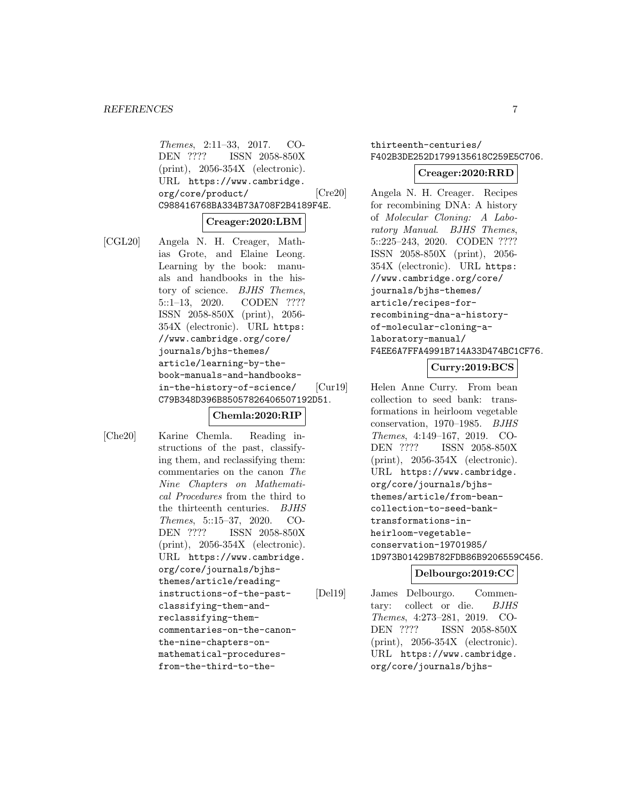Themes, 2:11–33, 2017. CO-DEN ???? ISSN 2058-850X (print), 2056-354X (electronic). URL https://www.cambridge. org/core/product/ C988416768BA334B73A708F2B4189F4E.

#### **Creager:2020:LBM**

[CGL20] Angela N. H. Creager, Mathias Grote, and Elaine Leong. Learning by the book: manuals and handbooks in the history of science. BJHS Themes, 5::1–13, 2020. CODEN ???? ISSN 2058-850X (print), 2056- 354X (electronic). URL https: //www.cambridge.org/core/ journals/bjhs-themes/ article/learning-by-thebook-manuals-and-handbooksin-the-history-of-science/ C79B348D396B85057826406507192D51.

#### **Chemla:2020:RIP**

[Che20] Karine Chemla. Reading instructions of the past, classifying them, and reclassifying them: commentaries on the canon The Nine Chapters on Mathematical Procedures from the third to the thirteenth centuries. BJHS Themes, 5::15–37, 2020. CO-DEN ???? ISSN 2058-850X (print), 2056-354X (electronic). URL https://www.cambridge. org/core/journals/bjhsthemes/article/readinginstructions-of-the-pastclassifying-them-andreclassifying-themcommentaries-on-the-canonthe-nine-chapters-onmathematical-proceduresfrom-the-third-to-the-

# thirteenth-centuries/ F402B3DE252D1799135618C259E5C706.

#### **Creager:2020:RRD**

[Cre20] Angela N. H. Creager. Recipes for recombining DNA: A history of Molecular Cloning: A Laboratory Manual. BJHS Themes, 5::225–243, 2020. CODEN ???? ISSN 2058-850X (print), 2056- 354X (electronic). URL https: //www.cambridge.org/core/ journals/bjhs-themes/ article/recipes-forrecombining-dna-a-historyof-molecular-cloning-alaboratory-manual/ F4EE6A7FFA4991B714A33D474BC1CF76.

#### **Curry:2019:BCS**

[Cur19] Helen Anne Curry. From bean collection to seed bank: transformations in heirloom vegetable conservation, 1970–1985. BJHS Themes, 4:149–167, 2019. CO-DEN ???? ISSN 2058-850X (print), 2056-354X (electronic). URL https://www.cambridge. org/core/journals/bjhsthemes/article/from-beancollection-to-seed-banktransformations-inheirloom-vegetableconservation-19701985/ 1D973B01429B782FDB86B9206559C456.

#### **Delbourgo:2019:CC**

[Del19] James Delbourgo. Commentary: collect or die. BJHS Themes, 4:273–281, 2019. CO-DEN ???? ISSN 2058-850X (print), 2056-354X (electronic). URL https://www.cambridge. org/core/journals/bjhs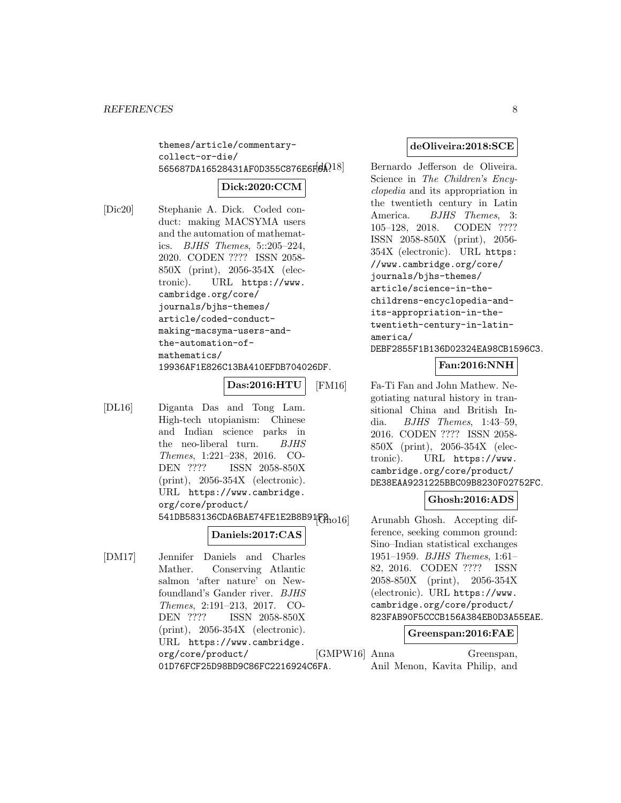themes/article/commentarycollect-or-die/ 565687DA16528431AF0D355C876E6F6A?18

# **Dick:2020:CCM**

[Dic20] Stephanie A. Dick. Coded conduct: making MACSYMA users and the automation of mathematics. BJHS Themes, 5::205–224, 2020. CODEN ???? ISSN 2058- 850X (print), 2056-354X (electronic). URL https://www. cambridge.org/core/ journals/bjhs-themes/ article/coded-conductmaking-macsyma-users-andthe-automation-ofmathematics/ 19936AF1E826C13BA410EFDB704026DF.

## **Das:2016:HTU**

[DL16] Diganta Das and Tong Lam. High-tech utopianism: Chinese and Indian science parks in the neo-liberal turn. BJHS Themes, 1:221–238, 2016. CO-DEN ???? ISSN 2058-850X (print), 2056-354X (electronic). URL https://www.cambridge. org/core/product/ 541DB583136CDA6BAE74FE1E2B8B91F31016

# **Daniels:2017:CAS**

[DM17] Jennifer Daniels and Charles Mather. Conserving Atlantic salmon 'after nature' on Newfoundland's Gander river. BJHS Themes, 2:191–213, 2017. CO-DEN ???? ISSN 2058-850X (print), 2056-354X (electronic). URL https://www.cambridge. org/core/product/ 01D76FCF25D98BD9C86FC2216924C6FA.

#### **deOliveira:2018:SCE**

Bernardo Jefferson de Oliveira. Science in The Children's Encyclopedia and its appropriation in the twentieth century in Latin America. *BJHS Themes*, 3: 105–128, 2018. CODEN ???? ISSN 2058-850X (print), 2056- 354X (electronic). URL https: //www.cambridge.org/core/ journals/bjhs-themes/ article/science-in-thechildrens-encyclopedia-andits-appropriation-in-thetwentieth-century-in-latinamerica/ DEBF2855F1B136D02324EA98CB1596C3.

## **Fan:2016:NNH**

[FM16] Fa-Ti Fan and John Mathew. Negotiating natural history in transitional China and British India. BJHS Themes, 1:43–59, 2016. CODEN ???? ISSN 2058- 850X (print), 2056-354X (electronic). URL https://www. cambridge.org/core/product/ DE38EAA9231225BBC09B8230F02752FC.

#### **Ghosh:2016:ADS**

Arunabh Ghosh. Accepting difference, seeking common ground: Sino–Indian statistical exchanges 1951–1959. BJHS Themes, 1:61– 82, 2016. CODEN ???? ISSN 2058-850X (print), 2056-354X (electronic). URL https://www. cambridge.org/core/product/ 823FAB90F5CCCB156A384EB0D3A55EAE.

#### **Greenspan:2016:FAE**

[GMPW16] Anna Greenspan, Anil Menon, Kavita Philip, and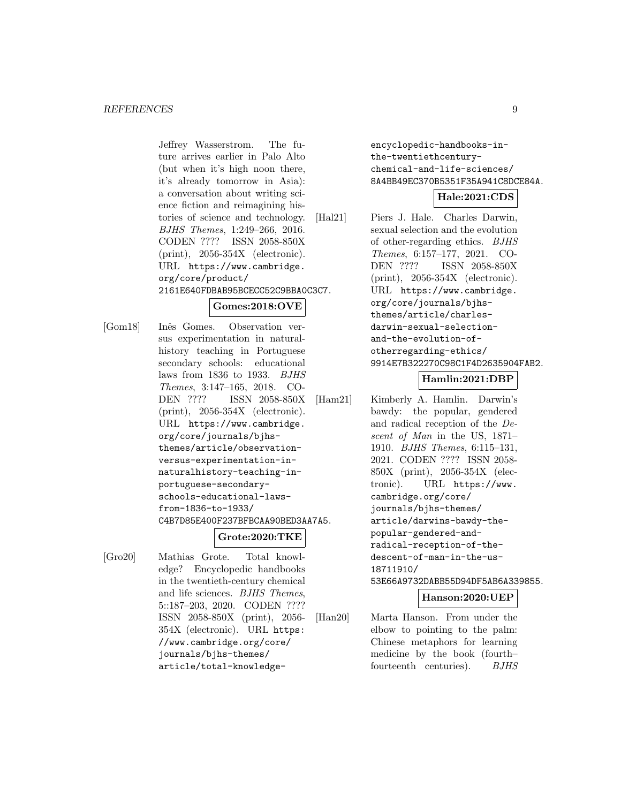Jeffrey Wasserstrom. The future arrives earlier in Palo Alto (but when it's high noon there, it's already tomorrow in Asia): a conversation about writing science fiction and reimagining histories of science and technology. BJHS Themes, 1:249–266, 2016. CODEN ???? ISSN 2058-850X (print), 2056-354X (electronic). URL https://www.cambridge. org/core/product/ 2161E640FDBAB95BCECC52C9BBA0C3C7.

# **Gomes:2018:OVE**

[Gom18] Inˆes Gomes. Observation versus experimentation in naturalhistory teaching in Portuguese secondary schools: educational laws from 1836 to 1933. BJHS Themes, 3:147–165, 2018. CO-DEN ???? ISSN 2058-850X (print), 2056-354X (electronic). URL https://www.cambridge. org/core/journals/bjhsthemes/article/observationversus-experimentation-innaturalhistory-teaching-inportuguese-secondaryschools-educational-lawsfrom-1836-to-1933/ C4B7D85E400F237BFBCAA90BED3AA7A5.

#### **Grote:2020:TKE**

[Gro20] Mathias Grote. Total knowledge? Encyclopedic handbooks in the twentieth-century chemical and life sciences. BJHS Themes, 5::187–203, 2020. CODEN ???? ISSN 2058-850X (print), 2056- 354X (electronic). URL https: //www.cambridge.org/core/ journals/bjhs-themes/ article/total-knowledgeencyclopedic-handbooks-inthe-twentiethcenturychemical-and-life-sciences/ 8A4BB49EC370B5351F35A941C8DCE84A.

#### **Hale:2021:CDS**

[Hal21] Piers J. Hale. Charles Darwin, sexual selection and the evolution of other-regarding ethics. BJHS Themes, 6:157–177, 2021. CO-DEN ???? ISSN 2058-850X (print), 2056-354X (electronic). URL https://www.cambridge. org/core/journals/bjhsthemes/article/charlesdarwin-sexual-selectionand-the-evolution-ofotherregarding-ethics/ 9914E7B322270C98C1F4D2635904FAB2.

## **Hamlin:2021:DBP**

[Ham21] Kimberly A. Hamlin. Darwin's bawdy: the popular, gendered and radical reception of the Descent of Man in the US, 1871– 1910. BJHS Themes, 6:115–131, 2021. CODEN ???? ISSN 2058- 850X (print), 2056-354X (electronic). URL https://www. cambridge.org/core/ journals/bjhs-themes/ article/darwins-bawdy-thepopular-gendered-andradical-reception-of-thedescent-of-man-in-the-us-18711910/ 53E66A9732DABB55D94DF5AB6A339855.

# **Hanson:2020:UEP**

[Han20] Marta Hanson. From under the elbow to pointing to the palm: Chinese metaphors for learning medicine by the book (fourth– fourteenth centuries). BJHS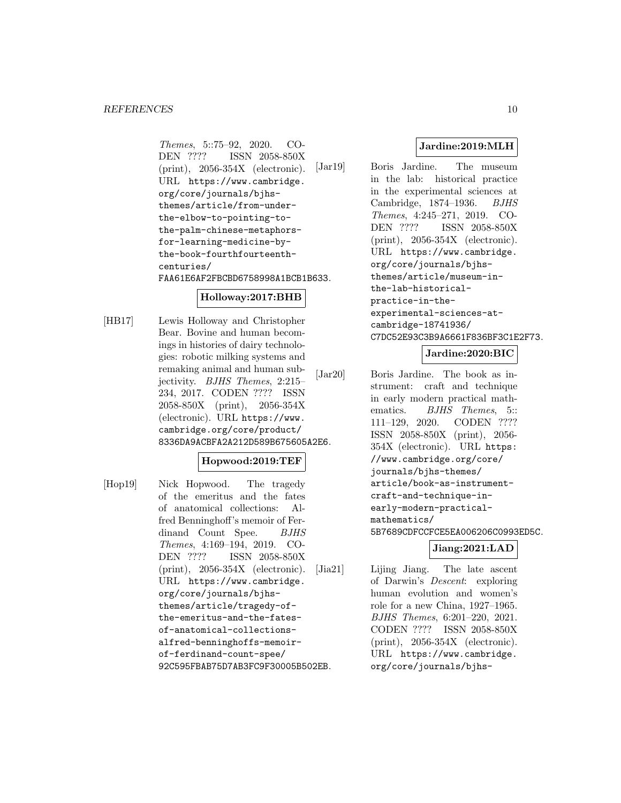Themes, 5::75–92, 2020. CO-<br>DEN ???? ISSN 2058-850X ISSN 2058-850X (print), 2056-354X (electronic). URL https://www.cambridge. org/core/journals/bjhsthemes/article/from-underthe-elbow-to-pointing-tothe-palm-chinese-metaphorsfor-learning-medicine-bythe-book-fourthfourteenthcenturies/ FAA61E6AF2FBCBD6758998A1BCB1B633.

## **Holloway:2017:BHB**

[HB17] Lewis Holloway and Christopher Bear. Bovine and human becomings in histories of dairy technologies: robotic milking systems and remaking animal and human subjectivity. BJHS Themes, 2:215– 234, 2017. CODEN ???? ISSN 2058-850X (print), 2056-354X (electronic). URL https://www. cambridge.org/core/product/ 8336DA9ACBFA2A212D589B675605A2E6.

#### **Hopwood:2019:TEF**

[Hop19] Nick Hopwood. The tragedy of the emeritus and the fates of anatomical collections: Alfred Benninghoff's memoir of Ferdinand Count Spee. BJHS Themes, 4:169–194, 2019. CO-DEN ???? ISSN 2058-850X (print), 2056-354X (electronic). URL https://www.cambridge. org/core/journals/bjhsthemes/article/tragedy-ofthe-emeritus-and-the-fatesof-anatomical-collectionsalfred-benninghoffs-memoirof-ferdinand-count-spee/ 92C595FBAB75D7AB3FC9F30005B502EB.

# **Jardine:2019:MLH**

[Jar19] Boris Jardine. The museum in the lab: historical practice in the experimental sciences at Cambridge, 1874–1936. BJHS Themes, 4:245–271, 2019. CO-DEN ???? ISSN 2058-850X (print), 2056-354X (electronic). URL https://www.cambridge. org/core/journals/bjhsthemes/article/museum-inthe-lab-historicalpractice-in-theexperimental-sciences-atcambridge-18741936/ C7DC52E93C3B9A6661F836BF3C1E2F73.

## **Jardine:2020:BIC**

[Jar20] Boris Jardine. The book as instrument: craft and technique in early modern practical mathematics. BJHS Themes, 5:: 111–129, 2020. CODEN ???? ISSN 2058-850X (print), 2056- 354X (electronic). URL https: //www.cambridge.org/core/ journals/bjhs-themes/ article/book-as-instrumentcraft-and-technique-inearly-modern-practicalmathematics/ 5B7689CDFCCFCE5EA006206C0993ED5C.

# **Jiang:2021:LAD**

[Jia21] Lijing Jiang. The late ascent of Darwin's Descent: exploring human evolution and women's role for a new China, 1927–1965. BJHS Themes, 6:201–220, 2021. CODEN ???? ISSN 2058-850X (print), 2056-354X (electronic). URL https://www.cambridge. org/core/journals/bjhs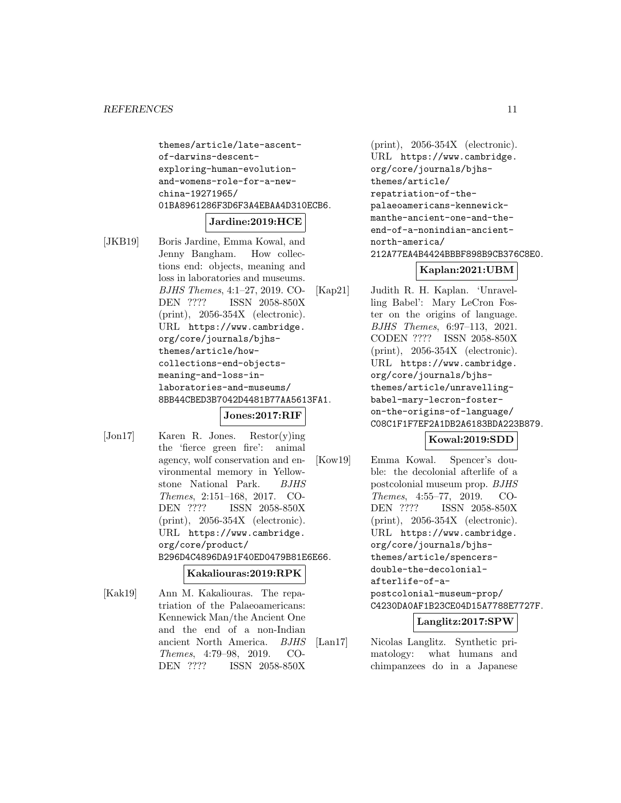themes/article/late-ascentof-darwins-descentexploring-human-evolutionand-womens-role-for-a-newchina-19271965/ 01BA8961286F3D6F3A4EBAA4D310ECB6.

#### **Jardine:2019:HCE**

[JKB19] Boris Jardine, Emma Kowal, and Jenny Bangham. How collections end: objects, meaning and loss in laboratories and museums. BJHS Themes, 4:1–27, 2019. CO-DEN ???? ISSN 2058-850X (print), 2056-354X (electronic). URL https://www.cambridge. org/core/journals/bjhsthemes/article/howcollections-end-objectsmeaning-and-loss-inlaboratories-and-museums/ 8BB44CBED3B7042D4481B77AA5613FA1.

#### **Jones:2017:RIF**

[Jon17] Karen R. Jones. Restor(y)ing the 'fierce green fire': animal agency, wolf conservation and environmental memory in Yellowstone National Park. BJHS Themes, 2:151–168, 2017. CO-DEN ???? ISSN 2058-850X (print), 2056-354X (electronic). URL https://www.cambridge. org/core/product/ B296D4C4896DA91F40ED0479B81E6E66.

#### **Kakaliouras:2019:RPK**

[Kak19] Ann M. Kakaliouras. The repatriation of the Palaeoamericans: Kennewick Man/the Ancient One and the end of a non-Indian ancient North America. BJHS Themes, 4:79–98, 2019. CO-DEN ???? ISSN 2058-850X

(print), 2056-354X (electronic). URL https://www.cambridge. org/core/journals/bjhsthemes/article/ repatriation-of-thepalaeoamericans-kennewickmanthe-ancient-one-and-theend-of-a-nonindian-ancientnorth-america/ 212A77EA4B4424BBBF898B9CB376C8E0.

## **Kaplan:2021:UBM**

[Kap21] Judith R. H. Kaplan. 'Unravelling Babel': Mary LeCron Foster on the origins of language. BJHS Themes, 6:97–113, 2021. CODEN ???? ISSN 2058-850X (print), 2056-354X (electronic). URL https://www.cambridge. org/core/journals/bjhsthemes/article/unravellingbabel-mary-lecron-fosteron-the-origins-of-language/ C08C1F1F7EF2A1DB2A6183BDA223B879.

#### **Kowal:2019:SDD**

[Kow19] Emma Kowal. Spencer's double: the decolonial afterlife of a postcolonial museum prop. BJHS Themes, 4:55–77, 2019. CO-DEN ???? ISSN 2058-850X (print), 2056-354X (electronic). URL https://www.cambridge. org/core/journals/bjhsthemes/article/spencersdouble-the-decolonialafterlife-of-apostcolonial-museum-prop/ C4230DA0AF1B23CE04D15A7788E7727F.

#### **Langlitz:2017:SPW**

[Lan17] Nicolas Langlitz. Synthetic primatology: what humans and chimpanzees do in a Japanese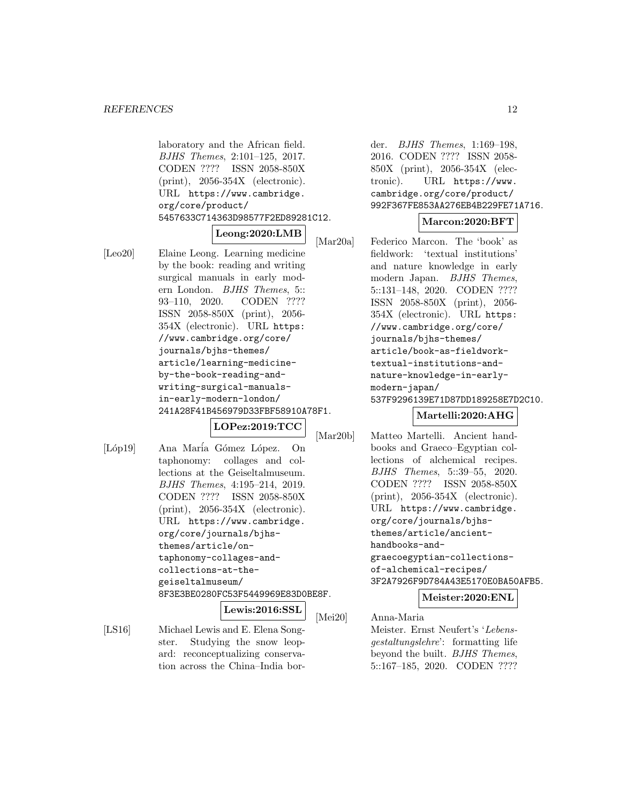laboratory and the African field. BJHS Themes, 2:101–125, 2017. CODEN ???? ISSN 2058-850X (print), 2056-354X (electronic). URL https://www.cambridge. org/core/product/ 5457633C714363D98577F2ED89281C12.

#### **Leong:2020:LMB**

[Leo20] Elaine Leong. Learning medicine by the book: reading and writing surgical manuals in early modern London. BJHS Themes, 5:: 93–110, 2020. CODEN ???? ISSN 2058-850X (print), 2056- 354X (electronic). URL https: //www.cambridge.org/core/ journals/bjhs-themes/ article/learning-medicineby-the-book-reading-andwriting-surgical-manualsin-early-modern-london/ 241A28F41B456979D33FBF58910A78F1.

**LOPez:2019:TCC**

- 
- [Lóp19] Ana María Gómez López. On taphonomy: collages and collections at the Geiseltalmuseum. BJHS Themes, 4:195–214, 2019. CODEN ???? ISSN 2058-850X (print), 2056-354X (electronic). URL https://www.cambridge. org/core/journals/bjhsthemes/article/ontaphonomy-collages-andcollections-at-thegeiseltalmuseum/ 8F3E3BE0280FC53F5449969E83D0BE8F.

**Lewis:2016:SSL**

[LS16] Michael Lewis and E. Elena Songster. Studying the snow leopard: reconceptualizing conservation across the China–India border. BJHS Themes, 1:169–198, 2016. CODEN ???? ISSN 2058- 850X (print), 2056-354X (electronic). URL https://www. cambridge.org/core/product/ 992F367FE853AA276EB4B229FE71A716.

#### **Marcon:2020:BFT**

[Mar20a] Federico Marcon. The 'book' as fieldwork: 'textual institutions' and nature knowledge in early modern Japan. BJHS Themes, 5::131–148, 2020. CODEN ???? ISSN 2058-850X (print), 2056- 354X (electronic). URL https: //www.cambridge.org/core/ journals/bjhs-themes/ article/book-as-fieldworktextual-institutions-andnature-knowledge-in-earlymodern-japan/ 537F9296139E71D87DD189258E7D2C10.

#### **Martelli:2020:AHG**

[Mar20b] Matteo Martelli. Ancient handbooks and Graeco–Egyptian collections of alchemical recipes. BJHS Themes, 5::39–55, 2020. CODEN ???? ISSN 2058-850X (print), 2056-354X (electronic). URL https://www.cambridge. org/core/journals/bjhsthemes/article/ancienthandbooks-andgraecoegyptian-collectionsof-alchemical-recipes/ 3F2A7926F9D784A43E5170E0BA50AFB5.

#### **Meister:2020:ENL**

[Mei20] Anna-Maria Meister. Ernst Neufert's 'Lebensgestaltungslehre': formatting life beyond the built. BJHS Themes, 5::167–185, 2020. CODEN ????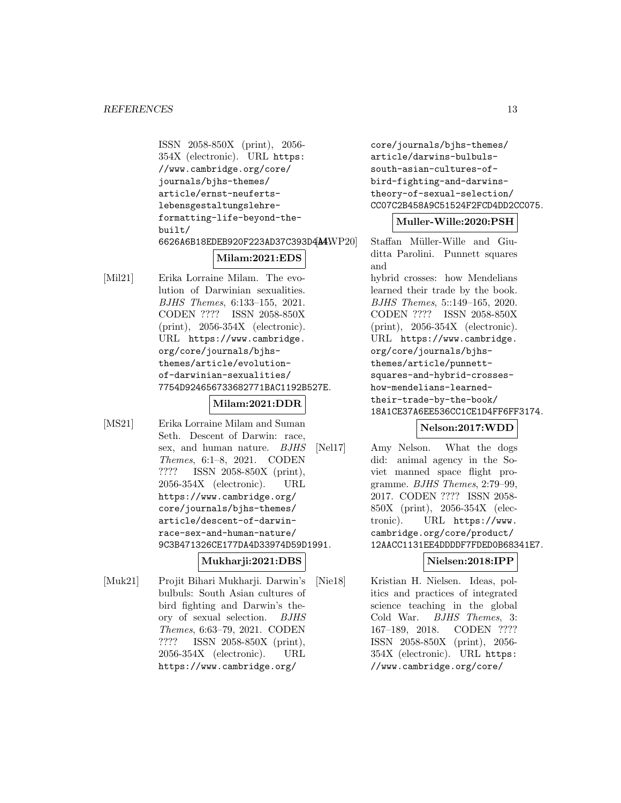ISSN 2058-850X (print), 2056- 354X (electronic). URL https: //www.cambridge.org/core/ journals/bjhs-themes/ article/ernst-neufertslebensgestaltungslehreformatting-life-beyond-thebuilt/ 6626A6B18EDEB920F223AD37C393D4A4WP20

## **Milam:2021:EDS**

- [Mil21] Erika Lorraine Milam. The evolution of Darwinian sexualities. BJHS Themes, 6:133–155, 2021. CODEN ???? ISSN 2058-850X (print), 2056-354X (electronic). URL https://www.cambridge. org/core/journals/bjhsthemes/article/evolutionof-darwinian-sexualities/ 7754D924656733682771BAC1192B527E. **Milam:2021:DDR**
- [MS21] Erika Lorraine Milam and Suman Seth. Descent of Darwin: race, sex, and human nature. *BJHS* Themes, 6:1–8, 2021. CODEN ???? ISSN 2058-850X (print), 2056-354X (electronic). URL https://www.cambridge.org/ core/journals/bjhs-themes/ article/descent-of-darwinrace-sex-and-human-nature/ 9C3B471326CE177DA4D33974D59D1991.

# **Mukharji:2021:DBS**

[Muk21] Projit Bihari Mukharji. Darwin's bulbuls: South Asian cultures of bird fighting and Darwin's theory of sexual selection. BJHS Themes, 6:63–79, 2021. CODEN ???? ISSN 2058-850X (print), 2056-354X (electronic). URL https://www.cambridge.org/

core/journals/bjhs-themes/ article/darwins-bulbulssouth-asian-cultures-ofbird-fighting-and-darwinstheory-of-sexual-selection/ CC07C2B458A9C51524F2FCD4DD2CC075.

#### **Muller-Wille:2020:PSH**

Staffan Müller-Wille and Giuditta Parolini. Punnett squares and hybrid crosses: how Mendelians learned their trade by the book. BJHS Themes, 5::149–165, 2020. CODEN ???? ISSN 2058-850X (print), 2056-354X (electronic). URL https://www.cambridge. org/core/journals/bjhsthemes/article/punnettsquares-and-hybrid-crosseshow-mendelians-learnedtheir-trade-by-the-book/ 18A1CE37A6EE536CC1CE1D4FF6FF3174.

# **Nelson:2017:WDD**

[Nel17] Amy Nelson. What the dogs did: animal agency in the Soviet manned space flight programme. BJHS Themes, 2:79–99, 2017. CODEN ???? ISSN 2058- 850X (print), 2056-354X (electronic). URL https://www. cambridge.org/core/product/ 12AACC1131EE4DDDDF7FDED0B68341E7.

#### **Nielsen:2018:IPP**

[Nie18] Kristian H. Nielsen. Ideas, politics and practices of integrated science teaching in the global Cold War. BJHS Themes, 3: 167–189, 2018. CODEN ???? ISSN 2058-850X (print), 2056- 354X (electronic). URL https: //www.cambridge.org/core/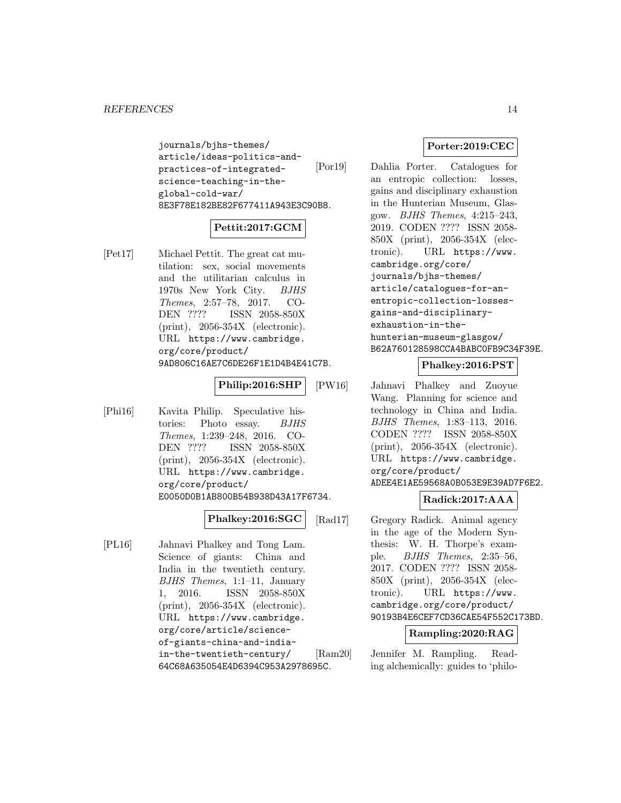journals/bjhs-themes/ article/ideas-politics-andpractices-of-integratedscience-teaching-in-theglobal-cold-war/ 8E3F78E182BE82F677411A943E3C90B8.

# **Pettit:2017:GCM**

[Pet17] Michael Pettit. The great cat mutilation: sex, social movements and the utilitarian calculus in 1970s New York City. BJHS Themes, 2:57–78, 2017. CO-DEN ???? ISSN 2058-850X (print), 2056-354X (electronic). URL https://www.cambridge. org/core/product/ 9AD806C16AE7C6DE26F1E1D4B4E41C7B.

# **Philip:2016:SHP**

[Phi16] Kavita Philip. Speculative histories: Photo essay. BJHS Themes, 1:239–248, 2016. CO-DEN ???? ISSN 2058-850X (print), 2056-354X (electronic). URL https://www.cambridge. org/core/product/ E0050D0B1AB800B54B938D43A17F6734.

## **Phalkey:2016:SGC**

[PL16] Jahnavi Phalkey and Tong Lam. Science of giants: China and India in the twentieth century. BJHS Themes, 1:1–11, January 1, 2016. ISSN 2058-850X (print), 2056-354X (electronic). URL https://www.cambridge. org/core/article/scienceof-giants-china-and-indiain-the-twentieth-century/ 64C68A635054E4D6394C953A2978695C.

## **Porter:2019:CEC**

[Por19] Dahlia Porter. Catalogues for an entropic collection: losses, gains and disciplinary exhaustion in the Hunterian Museum, Glasgow. BJHS Themes, 4:215–243, 2019. CODEN ???? ISSN 2058- 850X (print), 2056-354X (electronic). URL https://www. cambridge.org/core/ journals/bjhs-themes/ article/catalogues-for-anentropic-collection-lossesgains-and-disciplinaryexhaustion-in-thehunterian-museum-glasgow/ B62A760128598CCA4BABC0FB9C34F39E.

#### **Phalkey:2016:PST**

[PW16] Jahnavi Phalkey and Zuoyue Wang. Planning for science and technology in China and India. BJHS Themes, 1:83–113, 2016. CODEN ???? ISSN 2058-850X (print), 2056-354X (electronic). URL https://www.cambridge. org/core/product/ ADEE4E1AE59568A0B053E9E39AD7F6E2.

#### **Radick:2017:AAA**

[Rad17] Gregory Radick. Animal agency in the age of the Modern Synthesis: W. H. Thorpe's example. BJHS Themes, 2:35–56, 2017. CODEN ???? ISSN 2058- 850X (print), 2056-354X (electronic). URL https://www. cambridge.org/core/product/ 90193B4E6CEF7CD36CAE54F552C173BD.

#### **Rampling:2020:RAG**

[Ram20] Jennifer M. Rampling. Reading alchemically: guides to 'philo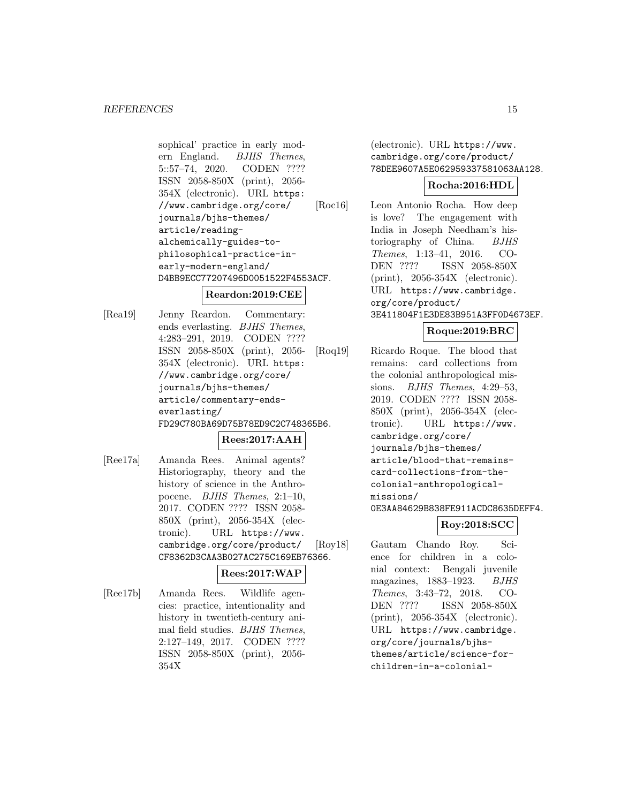sophical' practice in early modern England. BJHS Themes, 5::57–74, 2020. CODEN ???? ISSN 2058-850X (print), 2056- 354X (electronic). URL https: //www.cambridge.org/core/ journals/bjhs-themes/ article/readingalchemically-guides-tophilosophical-practice-inearly-modern-england/ D4BB9ECC77207496D0051522F4553ACF.

## **Reardon:2019:CEE**

[Rea19] Jenny Reardon. Commentary: ends everlasting. BJHS Themes, 4:283–291, 2019. CODEN ???? ISSN 2058-850X (print), 2056- 354X (electronic). URL https: //www.cambridge.org/core/ journals/bjhs-themes/ article/commentary-endseverlasting/ FD29C780BA69D75B78ED9C2C748365B6.

# **Rees:2017:AAH**

[Ree17a] Amanda Rees. Animal agents? Historiography, theory and the history of science in the Anthropocene. BJHS Themes, 2:1–10, 2017. CODEN ???? ISSN 2058- 850X (print), 2056-354X (electronic). URL https://www. cambridge.org/core/product/ CF8362D3CAA3B027AC275C169EB76366.

#### **Rees:2017:WAP**

[Ree17b] Amanda Rees. Wildlife agencies: practice, intentionality and history in twentieth-century animal field studies. BJHS Themes, 2:127–149, 2017. CODEN ???? ISSN 2058-850X (print), 2056- 354X

(electronic). URL https://www. cambridge.org/core/product/ 78DEE9607A5E062959337581063AA128.

## **Rocha:2016:HDL**

[Roc16] Leon Antonio Rocha. How deep is love? The engagement with India in Joseph Needham's historiography of China. BJHS Themes, 1:13–41, 2016. CO-DEN ???? ISSN 2058-850X (print), 2056-354X (electronic). URL https://www.cambridge. org/core/product/ 3E411804F1E3DE83B951A3FF0D4673EF.

## **Roque:2019:BRC**

[Roq19] Ricardo Roque. The blood that remains: card collections from the colonial anthropological missions. BJHS Themes, 4:29–53, 2019. CODEN ???? ISSN 2058- 850X (print), 2056-354X (electronic). URL https://www. cambridge.org/core/ journals/bjhs-themes/ article/blood-that-remainscard-collections-from-thecolonial-anthropologicalmissions/ 0E3AA84629B838FE911ACDC8635DEFF4.

## **Roy:2018:SCC**

[Roy18] Gautam Chando Roy. Science for children in a colonial context: Bengali juvenile magazines, 1883–1923. BJHS Themes, 3:43–72, 2018. CO-DEN ???? ISSN 2058-850X (print), 2056-354X (electronic). URL https://www.cambridge. org/core/journals/bjhsthemes/article/science-forchildren-in-a-colonial-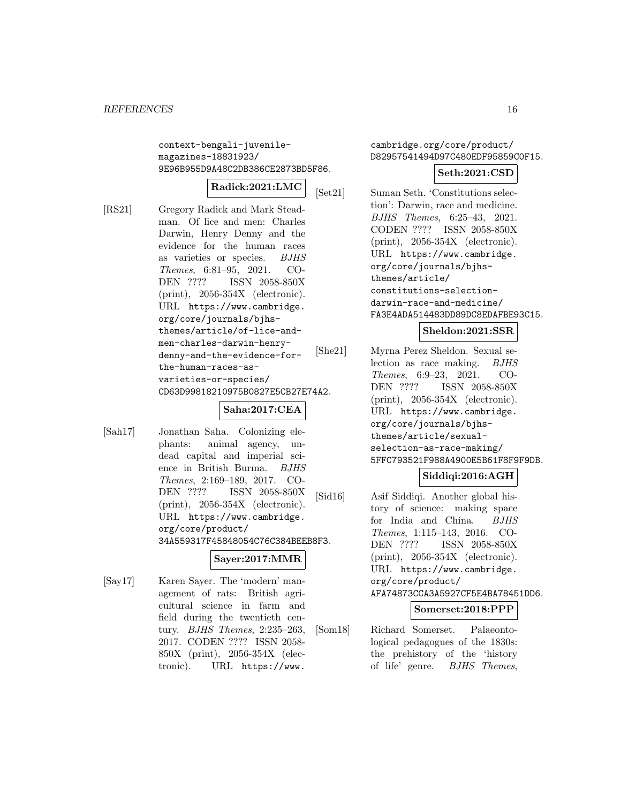context-bengali-juvenilemagazines-18831923/ 9E96B955D9A48C2DB386CE2873BD5F86.

# **Radick:2021:LMC**

[RS21] Gregory Radick and Mark Steadman. Of lice and men: Charles Darwin, Henry Denny and the evidence for the human races as varieties or species. BJHS Themes, 6:81–95, 2021. CO-DEN ???? ISSN 2058-850X (print), 2056-354X (electronic). URL https://www.cambridge. org/core/journals/bjhsthemes/article/of-lice-andmen-charles-darwin-henrydenny-and-the-evidence-forthe-human-races-asvarieties-or-species/ CD63D99818210975B0827E5CB27E74A2.

# **Saha:2017:CEA**

[Sah17] Jonathan Saha. Colonizing elephants: animal agency, undead capital and imperial science in British Burma. BJHS Themes, 2:169–189, 2017. CO-DEN ???? ISSN 2058-850X (print), 2056-354X (electronic). URL https://www.cambridge. org/core/product/ 34A559317F45848054C76C384BEEB8F3.

#### **Sayer:2017:MMR**

[Say17] Karen Sayer. The 'modern' management of rats: British agricultural science in farm and field during the twentieth century. BJHS Themes, 2:235–263, 2017. CODEN ???? ISSN 2058- 850X (print), 2056-354X (electronic). URL https://www.

cambridge.org/core/product/ D82957541494D97C480EDF95859C0F15.

## **Seth:2021:CSD**

[Set21] Suman Seth. 'Constitutions selection': Darwin, race and medicine. BJHS Themes, 6:25–43, 2021. CODEN ???? ISSN 2058-850X (print), 2056-354X (electronic). URL https://www.cambridge. org/core/journals/bjhsthemes/article/ constitutions-selectiondarwin-race-and-medicine/ FA3E4ADA514483DD89DC8EDAFBE93C15.

#### **Sheldon:2021:SSR**

[She21] Myrna Perez Sheldon. Sexual selection as race making. BJHS Themes, 6:9–23, 2021. CO-DEN ???? ISSN 2058-850X (print), 2056-354X (electronic). URL https://www.cambridge. org/core/journals/bjhsthemes/article/sexualselection-as-race-making/ 5FFC793521F988A4900E5B61F8F9F9DB.

#### **Siddiqi:2016:AGH**

[Sid16] Asif Siddiqi. Another global history of science: making space for India and China. BJHS Themes, 1:115–143, 2016. CO-DEN ???? ISSN 2058-850X (print), 2056-354X (electronic). URL https://www.cambridge. org/core/product/ AFA74873CCA3A5927CF5E4BA78451DD6.

#### **Somerset:2018:PPP**

[Som18] Richard Somerset. Palaeontological pedagogues of the 1830s: the prehistory of the 'history of life' genre. BJHS Themes,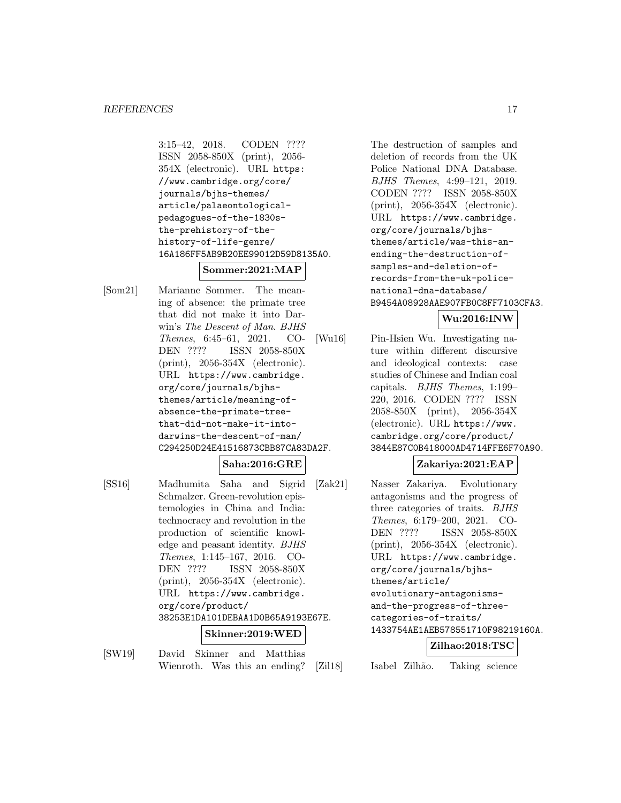3:15–42, 2018. CODEN ???? ISSN 2058-850X (print), 2056- 354X (electronic). URL https: //www.cambridge.org/core/ journals/bjhs-themes/ article/palaeontologicalpedagogues-of-the-1830sthe-prehistory-of-thehistory-of-life-genre/ 16A186FF5AB9B20EE99012D59D8135A0.

# **Sommer:2021:MAP**

[Som21] Marianne Sommer. The meaning of absence: the primate tree that did not make it into Darwin's The Descent of Man. BJHS Themes, 6:45–61, 2021. CO-DEN ???? ISSN 2058-850X (print), 2056-354X (electronic). URL https://www.cambridge. org/core/journals/bjhsthemes/article/meaning-ofabsence-the-primate-treethat-did-not-make-it-intodarwins-the-descent-of-man/ C294250D24E41516873CBB87CA83DA2F.

## **Saha:2016:GRE**

[SS16] Madhumita Saha and Sigrid Schmalzer. Green-revolution epistemologies in China and India: technocracy and revolution in the production of scientific knowledge and peasant identity. BJHS Themes, 1:145–167, 2016. CO-DEN ???? ISSN 2058-850X (print), 2056-354X (electronic). URL https://www.cambridge. org/core/product/ 38253E1DA101DEBAA1D0B65A9193E67E.

#### **Skinner:2019:WED**

[SW19] David Skinner and Matthias Wienroth. Was this an ending?

The destruction of samples and deletion of records from the UK Police National DNA Database. BJHS Themes, 4:99–121, 2019. CODEN ???? ISSN 2058-850X (print), 2056-354X (electronic). URL https://www.cambridge. org/core/journals/bjhsthemes/article/was-this-anending-the-destruction-ofsamples-and-deletion-ofrecords-from-the-uk-policenational-dna-database/ B9454A08928AAE907FB0C8FF7103CFA3.

# **Wu:2016:INW**

[Wu16] Pin-Hsien Wu. Investigating nature within different discursive and ideological contexts: case studies of Chinese and Indian coal capitals. BJHS Themes, 1:199– 220, 2016. CODEN ???? ISSN 2058-850X (print), 2056-354X (electronic). URL https://www. cambridge.org/core/product/ 3844E87C0B418000AD4714FFE6F70A90.

#### **Zakariya:2021:EAP**

[Zak21] Nasser Zakariya. Evolutionary antagonisms and the progress of three categories of traits. BJHS Themes, 6:179–200, 2021. CO-DEN ???? ISSN 2058-850X (print), 2056-354X (electronic). URL https://www.cambridge. org/core/journals/bjhsthemes/article/ evolutionary-antagonismsand-the-progress-of-threecategories-of-traits/ 1433754AE1AEB578551710F98219160A.

#### **Zilhao:2018:TSC**

[Zil18] Isabel Zilhão. Taking science